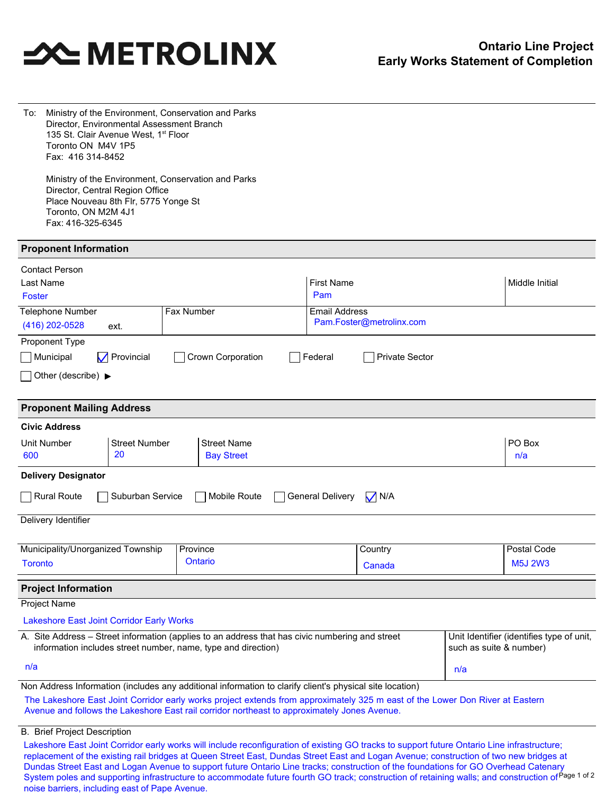# **SOUTHER STATES**

| To:                                                                                                                                                                                                                                      | Ministry of the Environment, Conservation and Parks<br>Director, Environmental Assessment Branch<br>135 St. Clair Avenue West, 1 <sup>st</sup> Floor<br>Toronto ON M4V 1P5<br>Fax: 416 314-8452 |                                                                         |                   |                                                                                                                                                                                                                               |  |                                                  |                       |                |                |
|------------------------------------------------------------------------------------------------------------------------------------------------------------------------------------------------------------------------------------------|-------------------------------------------------------------------------------------------------------------------------------------------------------------------------------------------------|-------------------------------------------------------------------------|-------------------|-------------------------------------------------------------------------------------------------------------------------------------------------------------------------------------------------------------------------------|--|--------------------------------------------------|-----------------------|----------------|----------------|
|                                                                                                                                                                                                                                          | Toronto, ON M2M 4J1<br>Fax: 416-325-6345                                                                                                                                                        | Director, Central Region Office<br>Place Nouveau 8th Flr, 5775 Yonge St |                   | Ministry of the Environment, Conservation and Parks                                                                                                                                                                           |  |                                                  |                       |                |                |
|                                                                                                                                                                                                                                          | <b>Proponent Information</b>                                                                                                                                                                    |                                                                         |                   |                                                                                                                                                                                                                               |  |                                                  |                       |                |                |
| Last Name<br>Foster                                                                                                                                                                                                                      | <b>Contact Person</b>                                                                                                                                                                           |                                                                         |                   |                                                                                                                                                                                                                               |  | <b>First Name</b><br>Pam                         |                       |                | Middle Initial |
|                                                                                                                                                                                                                                          | <b>Telephone Number</b><br>(416) 202-0528                                                                                                                                                       | ext.                                                                    | <b>Fax Number</b> |                                                                                                                                                                                                                               |  | <b>Email Address</b><br>Pam.Foster@metrolinx.com |                       |                |                |
| Municipal                                                                                                                                                                                                                                | Proponent Type                                                                                                                                                                                  | $\nabla$ Provincial                                                     |                   | Crown Corporation                                                                                                                                                                                                             |  | Federal                                          | <b>Private Sector</b> |                |                |
|                                                                                                                                                                                                                                          | Other (describe) $\blacktriangleright$                                                                                                                                                          |                                                                         |                   |                                                                                                                                                                                                                               |  |                                                  |                       |                |                |
|                                                                                                                                                                                                                                          | <b>Proponent Mailing Address</b>                                                                                                                                                                |                                                                         |                   |                                                                                                                                                                                                                               |  |                                                  |                       |                |                |
|                                                                                                                                                                                                                                          | <b>Civic Address</b>                                                                                                                                                                            |                                                                         |                   |                                                                                                                                                                                                                               |  |                                                  |                       |                |                |
| Unit Number<br>600                                                                                                                                                                                                                       |                                                                                                                                                                                                 | <b>Street Number</b><br>20                                              |                   | <b>Street Name</b><br><b>Bay Street</b>                                                                                                                                                                                       |  |                                                  |                       |                | PO Box<br>n/a  |
|                                                                                                                                                                                                                                          | <b>Delivery Designator</b>                                                                                                                                                                      |                                                                         |                   |                                                                                                                                                                                                                               |  |                                                  |                       |                |                |
|                                                                                                                                                                                                                                          | Rural Route                                                                                                                                                                                     | Suburban Service                                                        |                   | Mobile Route                                                                                                                                                                                                                  |  | <b>General Delivery</b>                          | $\bigvee$ N/A         |                |                |
|                                                                                                                                                                                                                                          | Delivery Identifier                                                                                                                                                                             |                                                                         |                   |                                                                                                                                                                                                                               |  |                                                  |                       |                |                |
|                                                                                                                                                                                                                                          |                                                                                                                                                                                                 | Municipality/Unorganized Township                                       | Province          |                                                                                                                                                                                                                               |  |                                                  | Country               |                | Postal Code    |
| Ontario<br><b>Toronto</b>                                                                                                                                                                                                                |                                                                                                                                                                                                 |                                                                         |                   |                                                                                                                                                                                                                               |  | Canada                                           |                       | <b>M5J 2W3</b> |                |
|                                                                                                                                                                                                                                          | <b>Project Information</b>                                                                                                                                                                      |                                                                         |                   |                                                                                                                                                                                                                               |  |                                                  |                       |                |                |
|                                                                                                                                                                                                                                          | Project Name                                                                                                                                                                                    |                                                                         |                   |                                                                                                                                                                                                                               |  |                                                  |                       |                |                |
|                                                                                                                                                                                                                                          |                                                                                                                                                                                                 | <b>Lakeshore East Joint Corridor Early Works</b>                        |                   |                                                                                                                                                                                                                               |  |                                                  |                       |                |                |
| A. Site Address - Street information (applies to an address that has civic numbering and street<br>Unit Identifier (identifies type of unit,<br>information includes street number, name, type and direction)<br>such as suite & number) |                                                                                                                                                                                                 |                                                                         |                   |                                                                                                                                                                                                                               |  |                                                  |                       |                |                |
| n/a                                                                                                                                                                                                                                      |                                                                                                                                                                                                 |                                                                         |                   |                                                                                                                                                                                                                               |  | n/a                                              |                       |                |                |
|                                                                                                                                                                                                                                          |                                                                                                                                                                                                 |                                                                         |                   | Non Address Information (includes any additional information to clarify client's physical site location)                                                                                                                      |  |                                                  |                       |                |                |
|                                                                                                                                                                                                                                          |                                                                                                                                                                                                 |                                                                         |                   | The Lakeshore East Joint Corridor early works project extends from approximately 325 m east of the Lower Don River at Eastern<br>Avenue and follows the Lakeshore East rail corridor northeast to approximately Jones Avenue. |  |                                                  |                       |                |                |
|                                                                                                                                                                                                                                          | <b>B.</b> Brief Project Description                                                                                                                                                             |                                                                         |                   |                                                                                                                                                                                                                               |  |                                                  |                       |                |                |
|                                                                                                                                                                                                                                          |                                                                                                                                                                                                 |                                                                         |                   | Lakeshore East Joint Corridor early works will include reconfiguration of existing GO tracks to support future Ontario Line infrastructure;                                                                                   |  |                                                  |                       |                |                |

Dundas Street East and Logan Avenue to support future Ontario Line tracks; construction of the foundations for GO Overhead Catenary<br>System poles and supporting infrastructure to accommodate future fourth GO track: construc replacement of the existing rail bridges at Queen Street East, Dundas Street East and Logan Avenue; construction of two new bridges at System poles and supporting infrastructure to accommodate future fourth GO track; construction of retaining walls; and construction of noise barriers, including east of Pape Avenue.